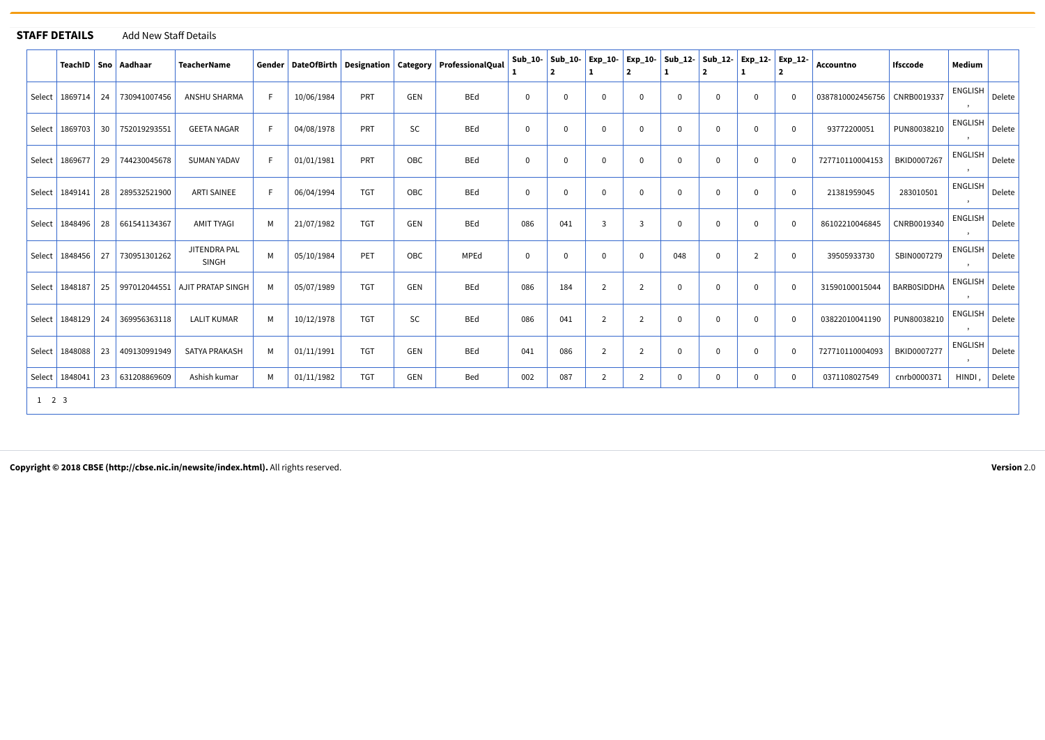## **STAFF DETAILS** Add New Staff Details

| AILS |  | Add New Staff Detai |
|------|--|---------------------|
|------|--|---------------------|

|                     |                  |    | TeachID   Sno   Aadhaar | <b>TeacherName</b>             |    |            |            |     | Gender   DateOfBirth   Designation   Category   ProfessionalQual | Sub 10-  | $Sub 10-$<br>2 | Exp 10-        | $\overline{2}$ |              | Exp 10- Sub 12- Sub 12- Exp 12-<br>$\overline{2}$ |          | Exp_12-        | <b>Accountno</b>             | Ifsccode           | Medium         |        |
|---------------------|------------------|----|-------------------------|--------------------------------|----|------------|------------|-----|------------------------------------------------------------------|----------|----------------|----------------|----------------|--------------|---------------------------------------------------|----------|----------------|------------------------------|--------------------|----------------|--------|
| Select              | 1869714          | 24 | 730941007456            | ANSHU SHARMA                   | F  | 10/06/1984 | PRT        | GEN | BEd                                                              | $\Omega$ | $\Omega$       | $\Omega$       | $\mathbf 0$    | $\Omega$     | $\mathbf 0$                                       | $\Omega$ | $\Omega$       | 0387810002456756 CNRB0019337 |                    | <b>ENGLISH</b> | Delete |
| Select              | 1869703          | 30 | 752019293551            | <b>GEETA NAGAR</b>             | -F | 04/08/1978 | PRT        | SC  | <b>BEd</b>                                                       | $\Omega$ | $\Omega$       | $\Omega$       | $\mathbf 0$    | $\mathbf{0}$ | $\Omega$                                          | $\Omega$ | $\Omega$       | 93772200051                  | PUN80038210        | <b>ENGLISH</b> | Delete |
| Select              | 1869677          | 29 | 744230045678            | <b>SUMAN YADAV</b>             | -F | 01/01/1981 | PRT        | OBC | BEd                                                              | $\Omega$ | $\Omega$       | $\Omega$       | $\mathbf 0$    | $\Omega$     | $\Omega$                                          | 0        | $\Omega$       | 727710110004153              | BKID0007267        | <b>ENGLISH</b> | Delete |
| Select              | 1849141          | 28 | 289532521900            | <b>ARTI SAINEE</b>             | -F | 06/04/1994 | <b>TGT</b> | OBC | BEd                                                              | $\Omega$ | $\overline{0}$ | $\Omega$       | $\mathbf 0$    | $\mathbf 0$  | $\mathbf 0$                                       | $\Omega$ | $\Omega$       | 21381959045                  | 283010501          | <b>ENGLISH</b> | Delete |
|                     | Select   1848496 | 28 | 661541134367            | AMIT TYAGI                     | M  | 21/07/1982 | <b>TGT</b> | GEN | BEd                                                              | 086      | 041            | $\overline{3}$ | 3              | $\Omega$     | $\Omega$                                          | $\Omega$ | $\Omega$       | 86102210046845               | CNRB0019340        | <b>ENGLISH</b> | Delete |
| Select              | 1848456          | 27 | 730951301262            | JITENDRA PAL<br>SINGH          | M  | 05/10/1984 | PET        | OBC | MPEd                                                             | $\Omega$ | $\overline{0}$ | $\Omega$       | $\mathbf 0$    | 048          | $\Omega$                                          | 2        | $\Omega$       | 39505933730                  | SBIN0007279        | <b>ENGLISH</b> | Delete |
|                     | Select   1848187 | 25 |                         | 997012044551 AJIT PRATAP SINGH | M  | 05/07/1989 | <b>TGT</b> | GEN | <b>BEd</b>                                                       | 086      | 184            | $\overline{2}$ | $\overline{2}$ | 0            | $\mathbf 0$                                       | 0        | $\Omega$       | 31590100015044               | <b>BARBOSIDDHA</b> | <b>ENGLISH</b> | Delete |
|                     | Select 1848129   | 24 | 369956363118            | <b>LALIT KUMAR</b>             | м  | 10/12/1978 | <b>TGT</b> | SC  | <b>BEd</b>                                                       | 086      | 041            | 2              | $\overline{2}$ | $\Omega$     | $\Omega$                                          | $\Omega$ | $\Omega$       | 03822010041190               | PUN80038210        | <b>ENGLISH</b> | Delete |
| Select              | 1848088          | 23 | 409130991949            | SATYA PRAKASH                  | M  | 01/11/1991 | <b>TGT</b> | GEN | BEd                                                              | 041      | 086            | $\overline{2}$ | $\overline{2}$ | $\Omega$     | $\Omega$                                          | $\Omega$ | $\Omega$       | 727710110004093              | BKID0007277        | <b>ENGLISH</b> | Delete |
|                     | Select   1848041 | 23 | 631208869609            | Ashish kumar                   | M  | 01/11/1982 | <b>TGT</b> | GEN | Bed                                                              | 002      | 087            | 2              | $\overline{2}$ | 0            | $\mathbf 0$                                       | 0        | $\overline{0}$ | 0371108027549                | cnrb0000371        | HINDI,         | Delete |
| $1 \quad 2 \quad 3$ |                  |    |                         |                                |    |            |            |     |                                                                  |          |                |                |                |              |                                                   |          |                |                              |                    |                |        |

Copyright © 2018 CBSE [\(http://cbse.nic.in/newsite/index.html\).](http://cbse.nic.in/newsite/index.html) All rights reserved. Version 2.0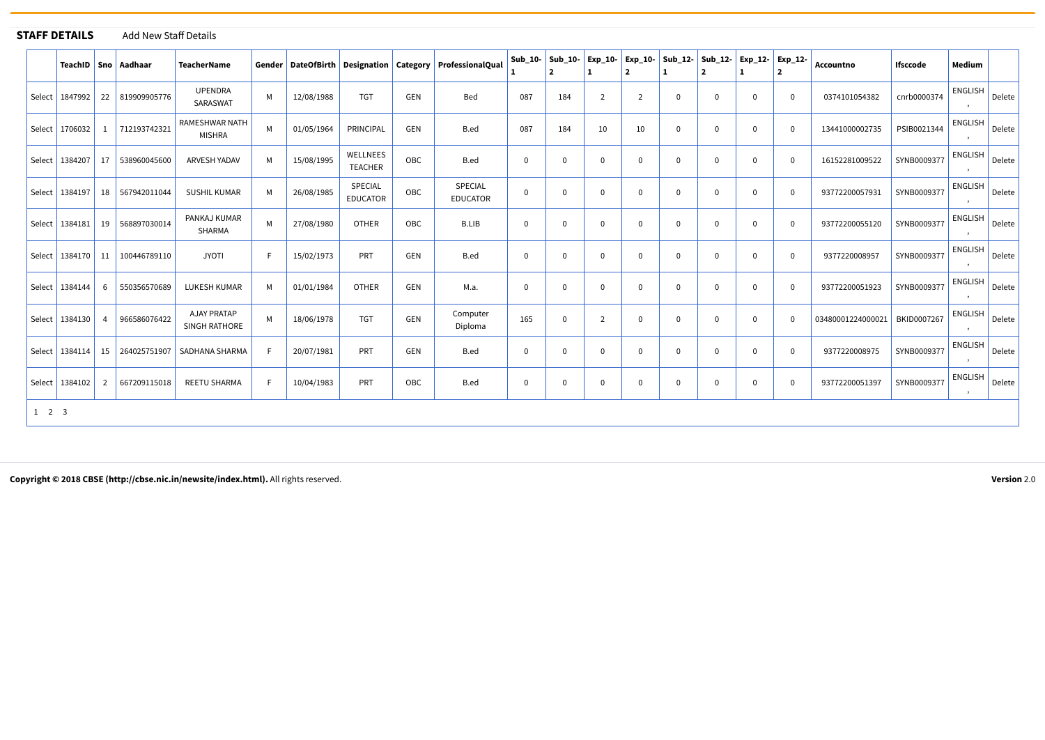|                     | <b>STAFF DETAILS</b> |                | <b>Add New Staff Details</b> |                                        |   |            |                            |            |                                                                  |             |                                |                |                |              |                                                           |                |                |                               |                 |                |
|---------------------|----------------------|----------------|------------------------------|----------------------------------------|---|------------|----------------------------|------------|------------------------------------------------------------------|-------------|--------------------------------|----------------|----------------|--------------|-----------------------------------------------------------|----------------|----------------|-------------------------------|-----------------|----------------|
|                     |                      |                | TeachID   Sno   Aadhaar      | <b>TeacherName</b>                     |   |            |                            |            | Gender   DateOfBirth   Designation   Category   ProfessionalQual |             | Sub_10- Sub_10- Exp_10-<br>l 2 | 1              | $\overline{2}$ | 1            | Exp_10- Sub_12- Sub_12- Exp_12- Exp_12-<br>$\overline{2}$ | 1              | $\overline{2}$ | Accountno                     | <b>Ifsccode</b> | Medium         |
| Select              | 1847992              | 22             | 819909905776                 | <b>UPENDRA</b><br>SARASWAT             | M | 12/08/1988 | <b>TGT</b>                 | GEN        | Bed                                                              | 087         | 184                            | $\overline{2}$ | $\overline{2}$ | 0            | 0                                                         | $\overline{0}$ | $\mathbf 0$    | 0374101054382                 | cnrb0000374     | <b>ENGLISH</b> |
| Select              | 1706032              | -1             | 712193742321                 | <b>RAMESHWAR NATH</b><br><b>MISHRA</b> | M | 01/05/1964 | PRINCIPAL                  | <b>GEN</b> | B.ed                                                             | 087         | 184                            | 10             | 10             | 0            | $\mathbf{0}$                                              | $\overline{0}$ | $\mathbf 0$    | 13441000002735                | PSIB0021344     | <b>ENGLISH</b> |
| Select              | 1384207              | 17             | 538960045600                 | ARVESH YADAV                           | M | 15/08/1995 | WELLNEES<br>TEACHER        | OBC        | B.ed                                                             | 0           | $\mathbf{0}$                   | 0              | $\Omega$       | $\Omega$     | $\Omega$                                                  | $\mathbf{0}$   | $\mathbf 0$    | 16152281009522                | SYNB0009377     | <b>ENGLISH</b> |
| Select              | 1384197              |                | 18 567942011044              | <b>SUSHIL KUMAR</b>                    | M | 26/08/1985 | SPECIAL<br><b>EDUCATOR</b> | OBC        | SPECIAL<br><b>EDUCATOR</b>                                       | $\mathbf 0$ | $\mathbf{0}$                   | 0              | $\Omega$       | $\mathbf 0$  | $\Omega$                                                  | $\mathbf 0$    | $\mathbf 0$    | 93772200057931                | SYNB0009377     | <b>ENGLISH</b> |
| Select              | 1384181              |                | 19   568897030014            | PANKAJ KUMAR<br>SHARMA                 | M | 27/08/1980 | <b>OTHER</b>               | OBC        | <b>B.LIB</b>                                                     | 0           | $\mathbf{0}$                   | 0              | $\Omega$       | $\Omega$     | $\Omega$                                                  | $\mathbf{0}$   | $\mathbf 0$    | 93772200055120                | SYNB0009377     | <b>ENGLISH</b> |
| Select              | 1384170              | 11             | 100446789110                 | <b>JYOTI</b>                           | F | 15/02/1973 | PRT                        | GEN        | B.ed                                                             | $\mathbf 0$ | $\mathbf 0$                    | $\mathbf 0$    | $\mathbf 0$    | $\mathbf 0$  | 0                                                         | $\mathbf 0$    | $\mathbf 0$    | 9377220008957                 | SYNB0009377     | <b>ENGLISH</b> |
| Select              | 1384144              | 6              | 550356570689                 | LUKESH KUMAR                           | M | 01/01/1984 | <b>OTHER</b>               | GEN        | M.a.                                                             | 0           | $\mathbf 0$                    | 0              | $\Omega$       | $\mathbf 0$  | $\Omega$                                                  | $\overline{0}$ | $\mathbf 0$    | 93772200051923                | SYNB0009377     | <b>ENGLISH</b> |
| Select              | 1384130              | $\overline{4}$ | 966586076422                 | <b>AJAY PRATAP</b><br>SINGH RATHORE    | M | 18/06/1978 | <b>TGT</b>                 | <b>GEN</b> | Computer<br>Diploma                                              | 165         | $\mathbf 0$                    | 2              | $\mathbf 0$    | 0            | $\mathbf{0}$                                              | $\overline{0}$ | $\Omega$       | 03480001224000021 BKID0007267 |                 | <b>ENGLISH</b> |
| Select              | 1384114              |                |                              | 15 264025751907 SADHANA SHARMA         | F | 20/07/1981 | PRT                        | GEN        | B.ed                                                             | $\mathbf 0$ | $\mathbf 0$                    | $\mathbf{0}$   | $\mathbf 0$    | $\mathbf 0$  | $\Omega$                                                  | $\overline{0}$ | $\mathbf 0$    | 9377220008975                 | SYNB0009377     | <b>ENGLISH</b> |
|                     | Select   1384102     | $\overline{2}$ | 667209115018                 | REETU SHARMA                           | F | 10/04/1983 | PRT                        | OBC        | B.ed                                                             | $\mathbf 0$ | $\mathbf{0}$                   | 0              | $\mathbf 0$    | $\mathbf{0}$ | $\mathbf{0}$                                              | $\mathbf 0$    | $\mathbf 0$    | 93772200051397                | SYNB0009377     | <b>ENGLISH</b> |
| $1 \quad 2 \quad 3$ |                      |                |                              |                                        |   |            |                            |            |                                                                  |             |                                |                |                |              |                                                           |                |                |                               |                 |                |

Copyright © 2018 CBSE [\(http://cbse.nic.in/newsite/index.html\).](http://cbse.nic.in/newsite/index.html) All rights reserved. Version 2.0

[Delete](javascript:WebForm_DoPostBackWithOptions(new WebForm_PostBackOptions("GridView1$ctl02$LinkButton1", "", true, "", "", false, true)))

[Delete](javascript:WebForm_DoPostBackWithOptions(new WebForm_PostBackOptions("GridView1$ctl03$LinkButton1", "", true, "", "", false, true)))

[Delete](javascript:WebForm_DoPostBackWithOptions(new WebForm_PostBackOptions("GridView1$ctl04$LinkButton1", "", true, "", "", false, true)))

[Delete](javascript:WebForm_DoPostBackWithOptions(new WebForm_PostBackOptions("GridView1$ctl05$LinkButton1", "", true, "", "", false, true)))

[Delete](javascript:WebForm_DoPostBackWithOptions(new WebForm_PostBackOptions("GridView1$ctl06$LinkButton1", "", true, "", "", false, true)))

[Delete](javascript:WebForm_DoPostBackWithOptions(new WebForm_PostBackOptions("GridView1$ctl07$LinkButton1", "", true, "", "", false, true)))

[Delete](javascript:WebForm_DoPostBackWithOptions(new WebForm_PostBackOptions("GridView1$ctl08$LinkButton1", "", true, "", "", false, true)))

[Delete](javascript:WebForm_DoPostBackWithOptions(new WebForm_PostBackOptions("GridView1$ctl09$LinkButton1", "", true, "", "", false, true)))

[Delete](javascript:WebForm_DoPostBackWithOptions(new WebForm_PostBackOptions("GridView1$ctl10$LinkButton1", "", true, "", "", false, true)))

[Delete](javascript:WebForm_DoPostBackWithOptions(new WebForm_PostBackOptions("GridView1$ctl11$LinkButton1", "", true, "", "", false, true)))